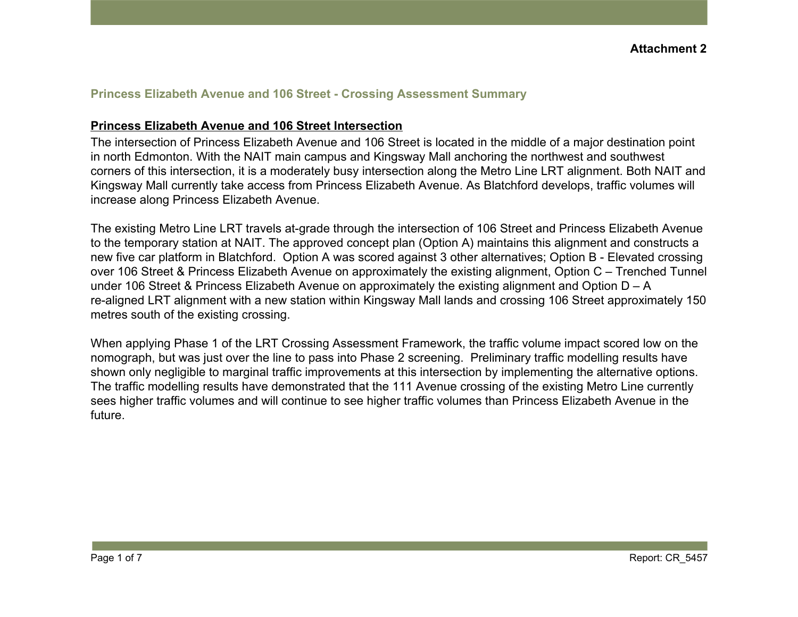#### **Princess Elizabeth Avenue and 106 Street - Crossing Assessment Summary**

#### **Princess Elizabeth Avenue and 106 Street Intersection**

The intersection of Princess Elizabeth Avenue and 106 Street is located in the middle of a major destination point in north Edmonton. With the NAIT main campus and Kingsway Mall anchoring the northwest and southwest corners of this intersection, it is a moderately busy intersection along the Metro Line LRT alignment. Both NAIT and Kingsway Mall currently take access from Princess Elizabeth Avenue. As Blatchford develops, traffic volumes will increase along Princess Elizabeth Avenue.

The existing Metro Line LRT travels at-grade through the intersection of 106 Street and Princess Elizabeth Avenue to the temporary station at NAIT. The approved concept plan (Option A) maintains this alignment and constructs a new five car platform in Blatchford. Option A was scored against 3 other alternatives; Option B - Elevated crossing over 106 Street & Princess Elizabeth Avenue on approximately the existing alignment, Option C – Trenched Tunnel under 106 Street & Princess Elizabeth Avenue on approximately the existing alignment and Option D – A re-aligned LRT alignment with a new station within Kingsway Mall lands and crossing 106 Street approximately 150 metres south of the existing crossing.

When applying Phase 1 of the LRT Crossing Assessment Framework, the traffic volume impact scored low on the nomograph, but was just over the line to pass into Phase 2 screening. Preliminary traffic modelling results have shown only negligible to marginal traffic improvements at this intersection by implementing the alternative options. The traffic modelling results have demonstrated that the 111 Avenue crossing of the existing Metro Line currently sees higher traffic volumes and will continue to see higher traffic volumes than Princess Elizabeth Avenue in the future.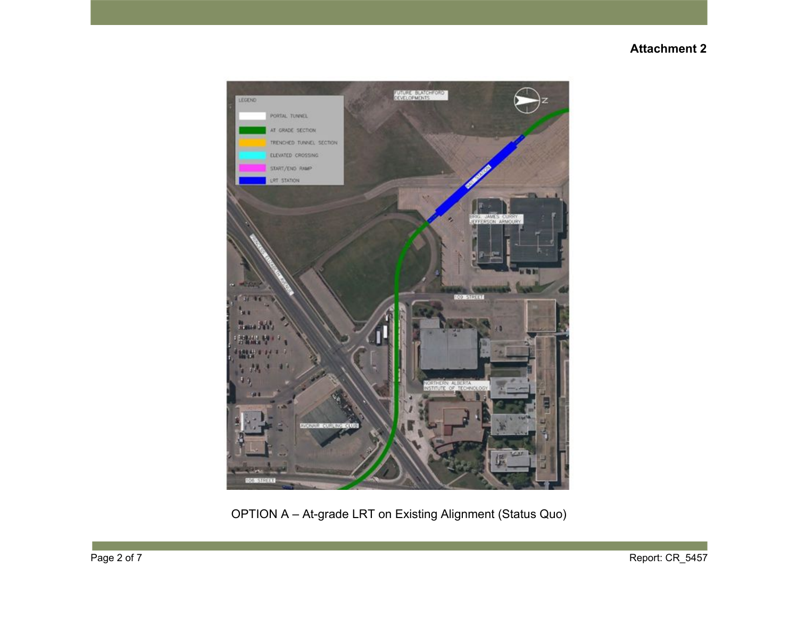

OPTION A – At-grade LRT on Existing Alignment (Status Quo)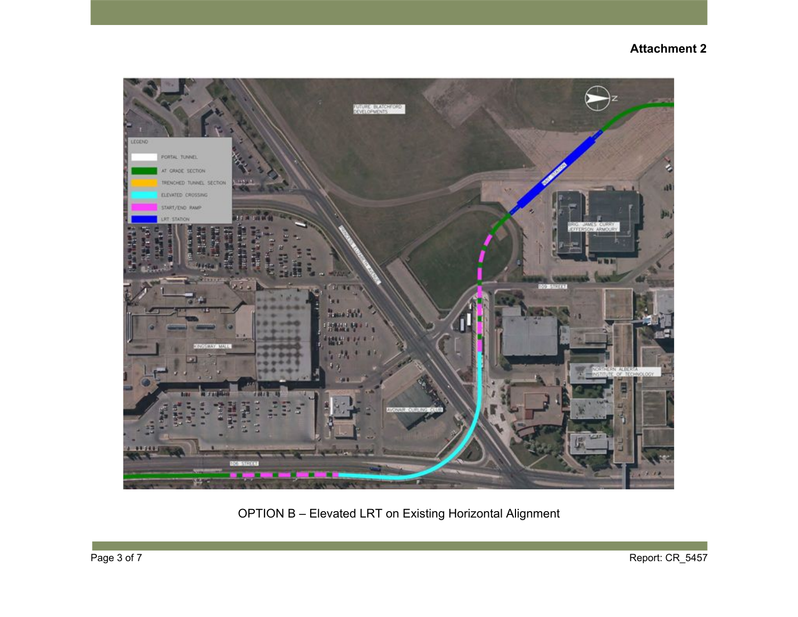

OPTION B – Elevated LRT on Existing Horizontal Alignment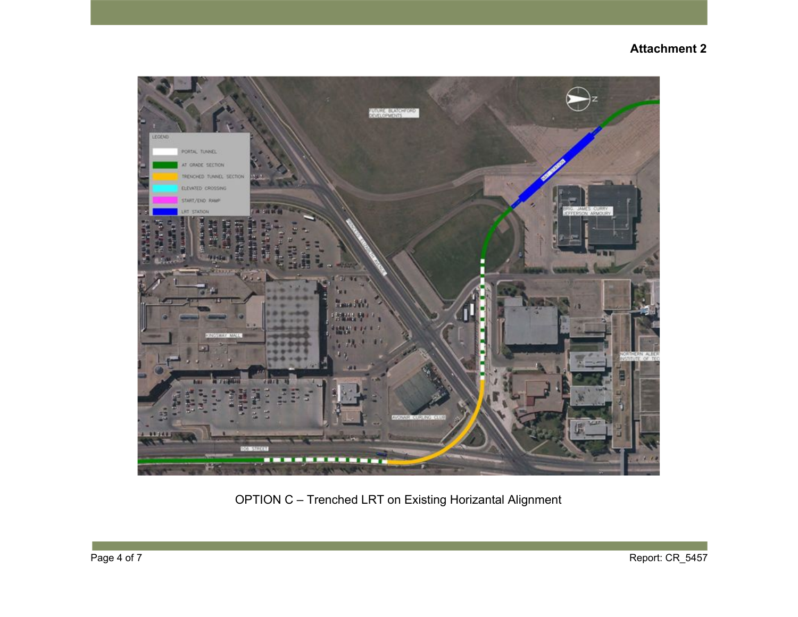

OPTION C – Trenched LRT on Existing Horizantal Alignment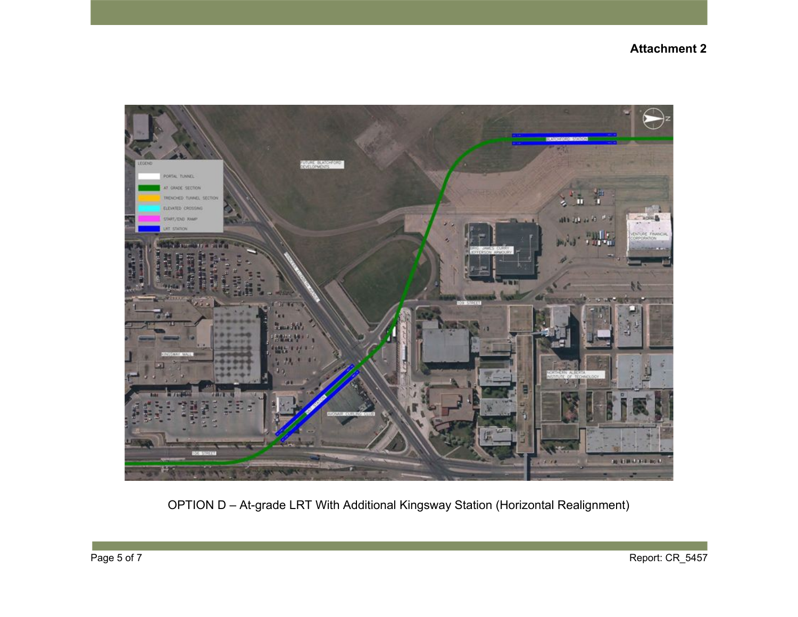

OPTION D – At-grade LRT With Additional Kingsway Station (Horizontal Realignment)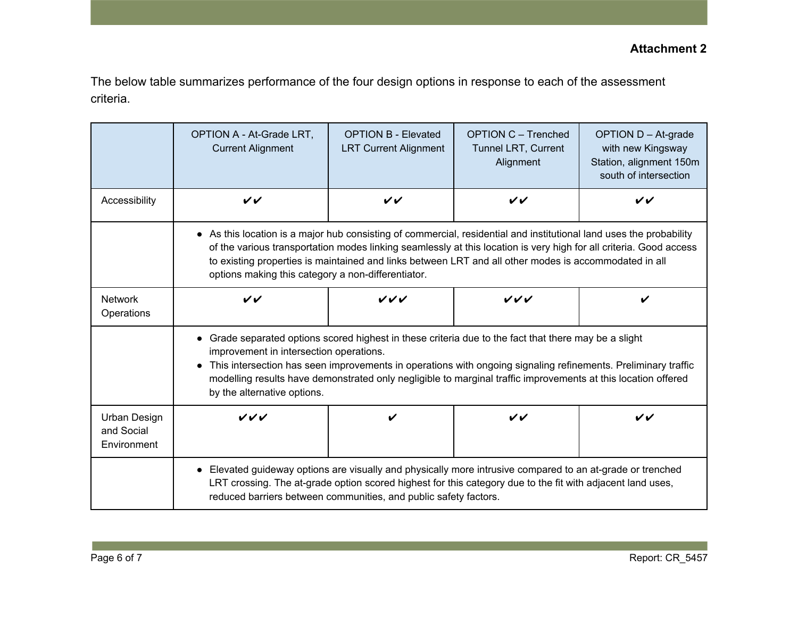The below table summarizes performance of the four design options in response to each of the assessment criteria.

|                                           | OPTION A - At-Grade LRT,<br><b>Current Alignment</b>                                                                                                                                                                                                                                                                                                                                                              | <b>OPTION B - Elevated</b><br><b>LRT Current Alignment</b> | <b>OPTION C - Trenched</b><br><b>Tunnel LRT, Current</b><br>Alignment | OPTION D - At-grade<br>with new Kingsway<br>Station, alignment 150m<br>south of intersection |  |  |
|-------------------------------------------|-------------------------------------------------------------------------------------------------------------------------------------------------------------------------------------------------------------------------------------------------------------------------------------------------------------------------------------------------------------------------------------------------------------------|------------------------------------------------------------|-----------------------------------------------------------------------|----------------------------------------------------------------------------------------------|--|--|
| Accessibility                             | VV                                                                                                                                                                                                                                                                                                                                                                                                                | $\checkmark$                                               | VV                                                                    | $\checkmark$                                                                                 |  |  |
|                                           | • As this location is a major hub consisting of commercial, residential and institutional land uses the probability<br>of the various transportation modes linking seamlessly at this location is very high for all criteria. Good access<br>to existing properties is maintained and links between LRT and all other modes is accommodated in all<br>options making this category a non-differentiator.          |                                                            |                                                                       |                                                                                              |  |  |
| <b>Network</b><br>Operations              | $\checkmark$                                                                                                                                                                                                                                                                                                                                                                                                      | VVV                                                        | VVV                                                                   | V                                                                                            |  |  |
|                                           | • Grade separated options scored highest in these criteria due to the fact that there may be a slight<br>improvement in intersection operations.<br>This intersection has seen improvements in operations with ongoing signaling refinements. Preliminary traffic<br>modelling results have demonstrated only negligible to marginal traffic improvements at this location offered<br>by the alternative options. |                                                            |                                                                       |                                                                                              |  |  |
| Urban Design<br>and Social<br>Environment | ンンン                                                                                                                                                                                                                                                                                                                                                                                                               | $\boldsymbol{\nu}$                                         | VV                                                                    | VV                                                                                           |  |  |
|                                           | Elevated guideway options are visually and physically more intrusive compared to an at-grade or trenched<br>LRT crossing. The at-grade option scored highest for this category due to the fit with adjacent land uses,<br>reduced barriers between communities, and public safety factors.                                                                                                                        |                                                            |                                                                       |                                                                                              |  |  |